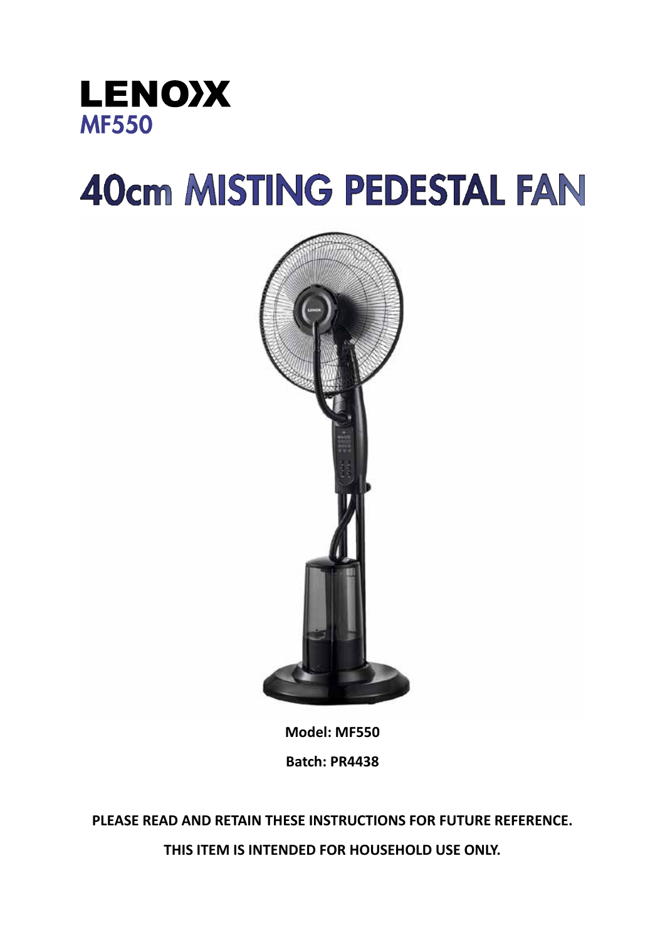

# **40cm MISTING PEDESTAL FAN**



**Model: MF550 Batch: PR4438**

**PLEASE READ AND RETAIN THESE INSTRUCTIONS FOR FUTURE REFERENCE. THIS ITEM IS INTENDED FOR HOUSEHOLD USE ONLY.**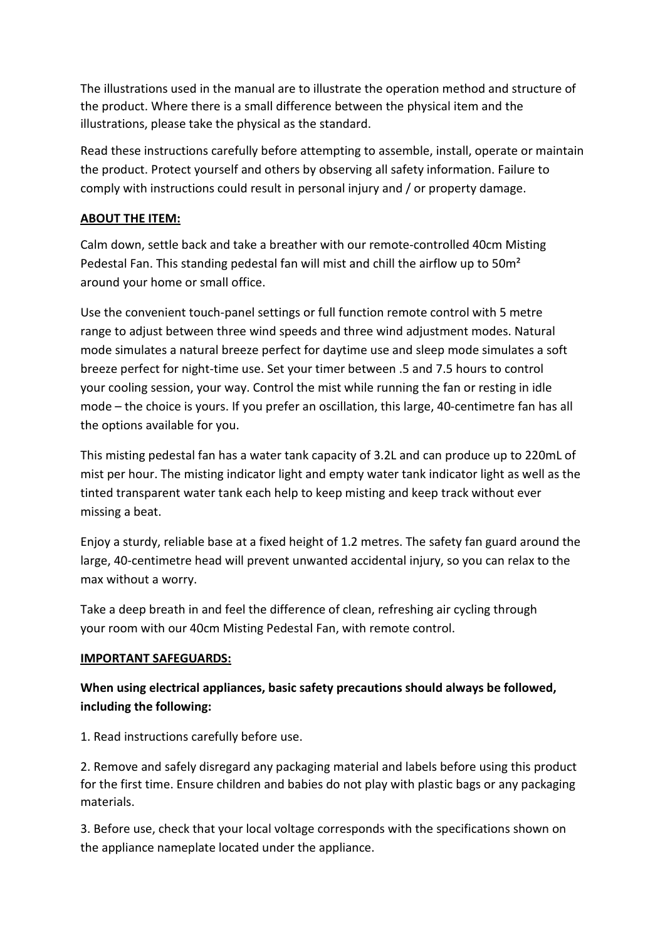The illustrations used in the manual are to illustrate the operation method and structure of the product. Where there is a small difference between the physical item and the illustrations, please take the physical as the standard.

Read these instructions carefully before attempting to assemble, install, operate or maintain the product. Protect yourself and others by observing all safety information. Failure to comply with instructions could result in personal injury and / or property damage.

## **ABOUT THE ITEM:**

Calm down, settle back and take a breather with our remote-controlled 40cm Misting Pedestal Fan. This standing pedestal fan will mist and chill the airflow up to 50m<sup>2</sup> around your home or small office.

Use the convenient touch-panel settings or full function remote control with 5 metre range to adjust between three wind speeds and three wind adjustment modes. Natural mode simulates a natural breeze perfect for daytime use and sleep mode simulates a soft breeze perfect for night-time use. Set your timer between .5 and 7.5 hours to control your cooling session, your way. Control the mist while running the fan or resting in idle mode – the choice is yours. If you prefer an oscillation, this large, 40-centimetre fan has all the options available for you.

This misting pedestal fan has a water tank capacity of 3.2L and can produce up to 220mL of mist per hour. The misting indicator light and empty water tank indicator light as well as the tinted transparent water tank each help to keep misting and keep track without ever missing a beat.

Enjoy a sturdy, reliable base at a fixed height of 1.2 metres. The safety fan guard around the large, 40-centimetre head will prevent unwanted accidental injury, so you can relax to the max without a worry.

Take a deep breath in and feel the difference of clean, refreshing air cycling through your room with our 40cm Misting Pedestal Fan, with remote control.

## **IMPORTANT SAFEGUARDS:**

## **When using electrical appliances, basic safety precautions should always be followed, including the following:**

1. Read instructions carefully before use.

2. Remove and safely disregard any packaging material and labels before using this product for the first time. Ensure children and babies do not play with plastic bags or any packaging materials.

3. Before use, check that your local voltage corresponds with the specifications shown on the appliance nameplate located under the appliance.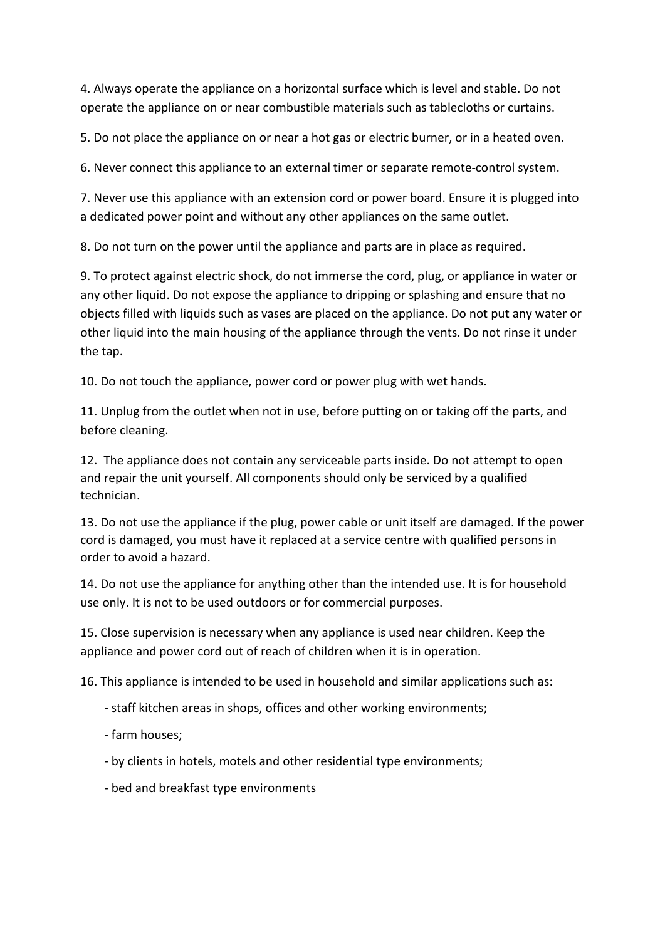4. Always operate the appliance on a horizontal surface which is level and stable. Do not operate the appliance on or near combustible materials such as tablecloths or curtains.

5. Do not place the appliance on or near a hot gas or electric burner, or in a heated oven.

6. Never connect this appliance to an external timer or separate remote-control system.

7. Never use this appliance with an extension cord or power board. Ensure it is plugged into a dedicated power point and without any other appliances on the same outlet.

8. Do not turn on the power until the appliance and parts are in place as required.

9. To protect against electric shock, do not immerse the cord, plug, or appliance in water or any other liquid. Do not expose the appliance to dripping or splashing and ensure that no objects filled with liquids such as vases are placed on the appliance. Do not put any water or other liquid into the main housing of the appliance through the vents. Do not rinse it under the tap.

10. Do not touch the appliance, power cord or power plug with wet hands.

11. Unplug from the outlet when not in use, before putting on or taking off the parts, and before cleaning.

12. The appliance does not contain any serviceable parts inside. Do not attempt to open and repair the unit yourself. All components should only be serviced by a qualified technician.

13. Do not use the appliance if the plug, power cable or unit itself are damaged. If the power cord is damaged, you must have it replaced at a service centre with qualified persons in order to avoid a hazard.

14. Do not use the appliance for anything other than the intended use. It is for household use only. It is not to be used outdoors or for commercial purposes.

15. Close supervision is necessary when any appliance is used near children. Keep the appliance and power cord out of reach of children when it is in operation.

16. This appliance is intended to be used in household and similar applications such as:

- staff kitchen areas in shops, offices and other working environments;
- farm houses;
- by clients in hotels, motels and other residential type environments;
- bed and breakfast type environments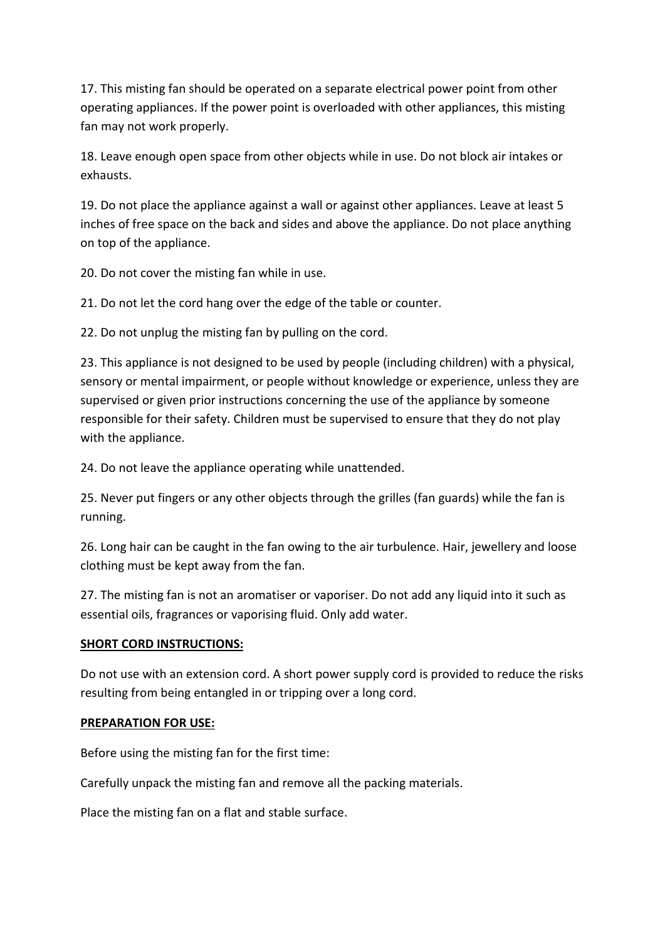17. This misting fan should be operated on a separate electrical power point from other operating appliances. If the power point is overloaded with other appliances, this misting fan may not work properly.

18. Leave enough open space from other objects while in use. Do not block air intakes or exhausts.

19. Do not place the appliance against a wall or against other appliances. Leave at least 5 inches of free space on the back and sides and above the appliance. Do not place anything on top of the appliance.

20. Do not cover the misting fan while in use.

21. Do not let the cord hang over the edge of the table or counter.

22. Do not unplug the misting fan by pulling on the cord.

23. This appliance is not designed to be used by people (including children) with a physical, sensory or mental impairment, or people without knowledge or experience, unless they are supervised or given prior instructions concerning the use of the appliance by someone responsible for their safety. Children must be supervised to ensure that they do not play with the appliance.

24. Do not leave the appliance operating while unattended.

25. Never put fingers or any other objects through the grilles (fan guards) while the fan is running.

26. Long hair can be caught in the fan owing to the air turbulence. Hair, jewellery and loose clothing must be kept away from the fan.

27. The misting fan is not an aromatiser or vaporiser. Do not add any liquid into it such as essential oils, fragrances or vaporising fluid. Only add water.

#### **SHORT CORD INSTRUCTIONS:**

Do not use with an extension cord. A short power supply cord is provided to reduce the risks resulting from being entangled in or tripping over a long cord.

#### **PREPARATION FOR USE:**

Before using the misting fan for the first time:

Carefully unpack the misting fan and remove all the packing materials.

Place the misting fan on a flat and stable surface.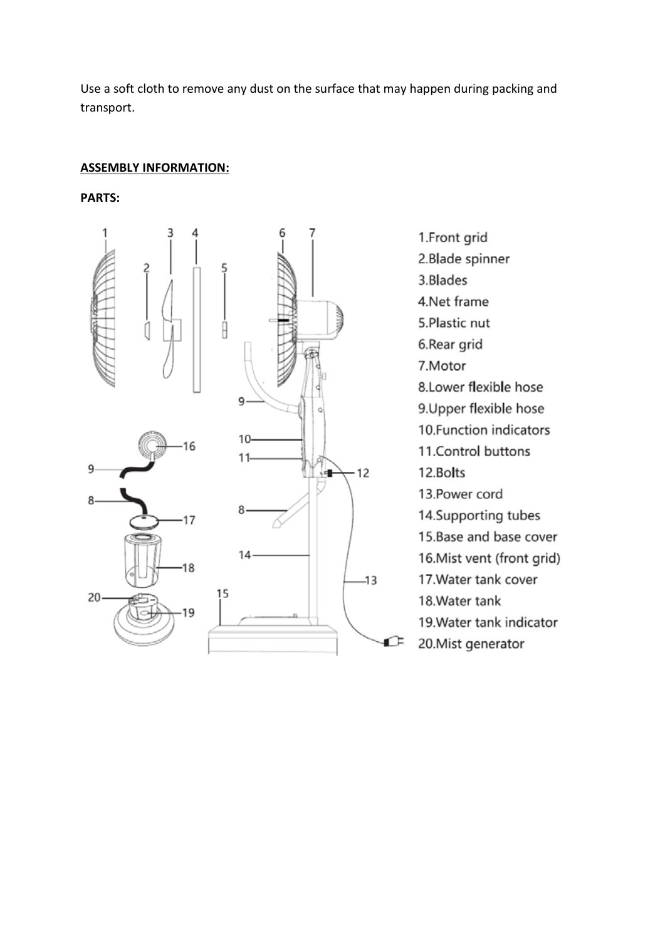Use a soft cloth to remove any dust on the surface that may happen during packing and transport.

#### **ASSEMBLY INFORMATION:**

**PARTS:**



1.Front grid 2.Blade spinner 3.Blades 4.Net frame 5.Plastic nut 6.Rear grid 7.Motor 8. Lower flexible hose 9. Upper flexible hose 10. Function indicators 11.Control buttons 12.Bolts 13. Power cord 14. Supporting tubes 15. Base and base cover 16. Mist vent (front grid) 17. Water tank cover 18. Water tank 19. Water tank indicator 20. Mist generator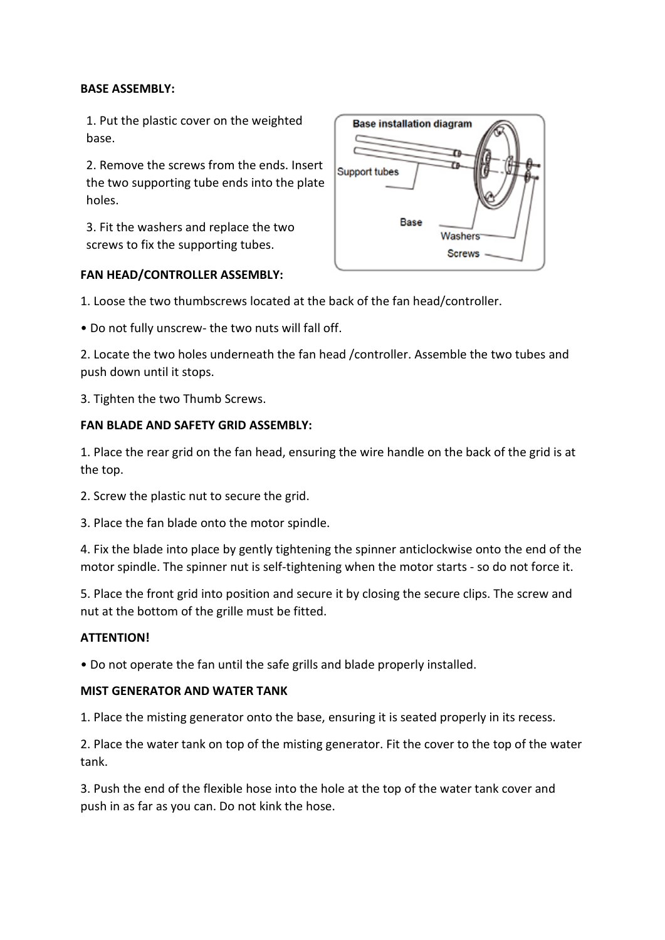## **BASE ASSEMBLY:**

1. Put the plastic cover on the weighted base.

2. Remove the screws from the ends. Insert the two supporting tube ends into the plate holes.

3. Fit the washers and replace the two screws to fix the supporting tubes.



## **FAN HEAD/CONTROLLER ASSEMBLY:**

1. Loose the two thumbscrews located at the back of the fan head/controller.

• Do not fully unscrew- the two nuts will fall off.

2. Locate the two holes underneath the fan head /controller. Assemble the two tubes and push down until it stops.

3. Tighten the two Thumb Screws.

## **FAN BLADE AND SAFETY GRID ASSEMBLY:**

1. Place the rear grid on the fan head, ensuring the wire handle on the back of the grid is at the top.

- 2. Screw the plastic nut to secure the grid.
- 3. Place the fan blade onto the motor spindle.

4. Fix the blade into place by gently tightening the spinner anticlockwise onto the end of the motor spindle. The spinner nut is self-tightening when the motor starts - so do not force it.

5. Place the front grid into position and secure it by closing the secure clips. The screw and nut at the bottom of the grille must be fitted.

#### **ATTENTION!**

• Do not operate the fan until the safe grills and blade properly installed.

## **MIST GENERATOR AND WATER TANK**

1. Place the misting generator onto the base, ensuring it is seated properly in its recess.

2. Place the water tank on top of the misting generator. Fit the cover to the top of the water tank.

3. Push the end of the flexible hose into the hole at the top of the water tank cover and push in as far as you can. Do not kink the hose.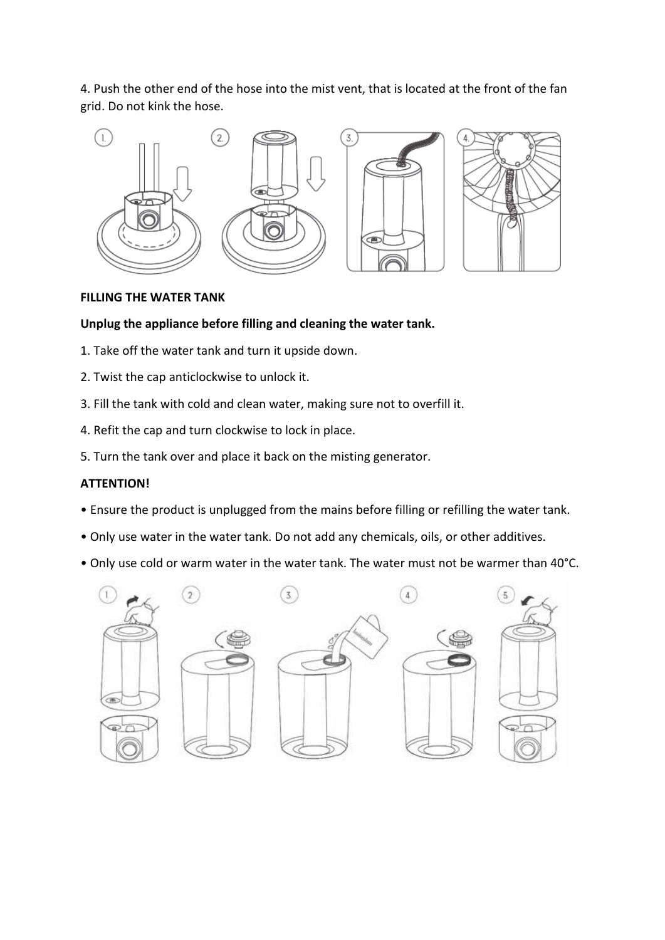4. Push the other end of the hose into the mist vent, that is located at the front of the fan grid. Do not kink the hose.



## **FILLING THE WATER TANK**

## **Unplug the appliance before filling and cleaning the water tank.**

- 1. Take off the water tank and turn it upside down.
- 2. Twist the cap anticlockwise to unlock it.
- 3. Fill the tank with cold and clean water, making sure not to overfill it.
- 4. Refit the cap and turn clockwise to lock in place.
- 5. Turn the tank over and place it back on the misting generator.

#### **ATTENTION!**

- Ensure the product is unplugged from the mains before filling or refilling the water tank.
- Only use water in the water tank. Do not add any chemicals, oils, or other additives.
- Only use cold or warm water in the water tank. The water must not be warmer than 40°C.

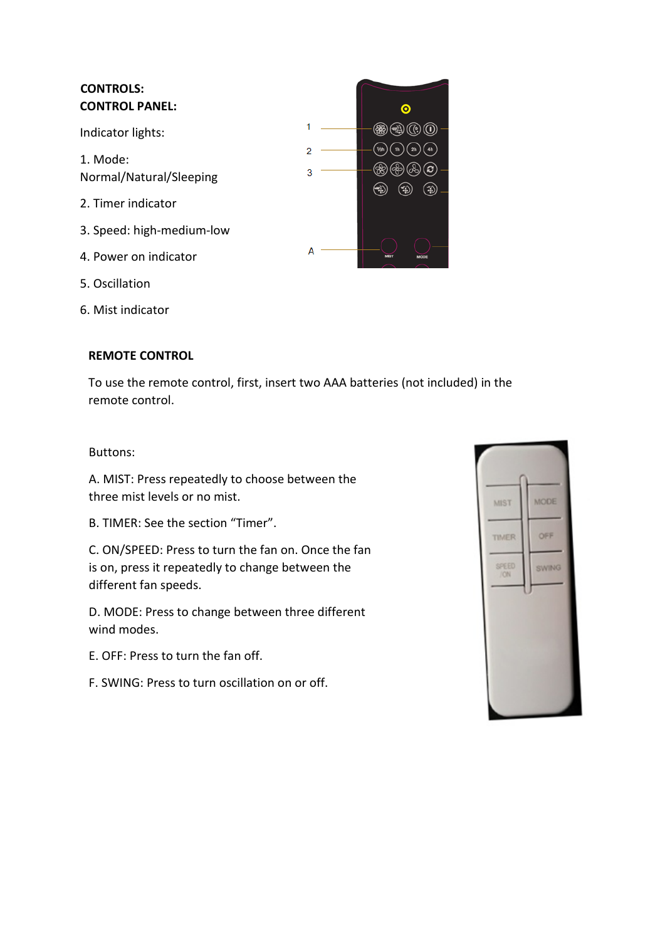| <b>CONTROLS:</b><br><b>CONTROL PANEL:</b> |        | Ο |
|-------------------------------------------|--------|---|
| Indicator lights:                         |        |   |
| 1. Mode:<br>Normal/Natural/Sleeping       | 2<br>3 |   |
| 2. Timer indicator                        |        |   |
| 3. Speed: high-medium-low                 |        |   |
| 4. Power on indicator                     | А      |   |
| 5. Oscillation                            |        |   |

6. Mist indicator

## **REMOTE CONTROL**

To use the remote control, first, insert two AAA batteries (not included) in the remote control.

#### Buttons:

A. MIST: Press repeatedly to choose between the three mist levels or no mist.

B. TIMER: See the section "Timer".

C. ON/SPEED: Press to turn the fan on. Once the fan is on, press it repeatedly to change between the different fan speeds.

D. MODE: Press to change between three different wind modes.

E. OFF: Press to turn the fan off.

F. SWING: Press to turn oscillation on or off.

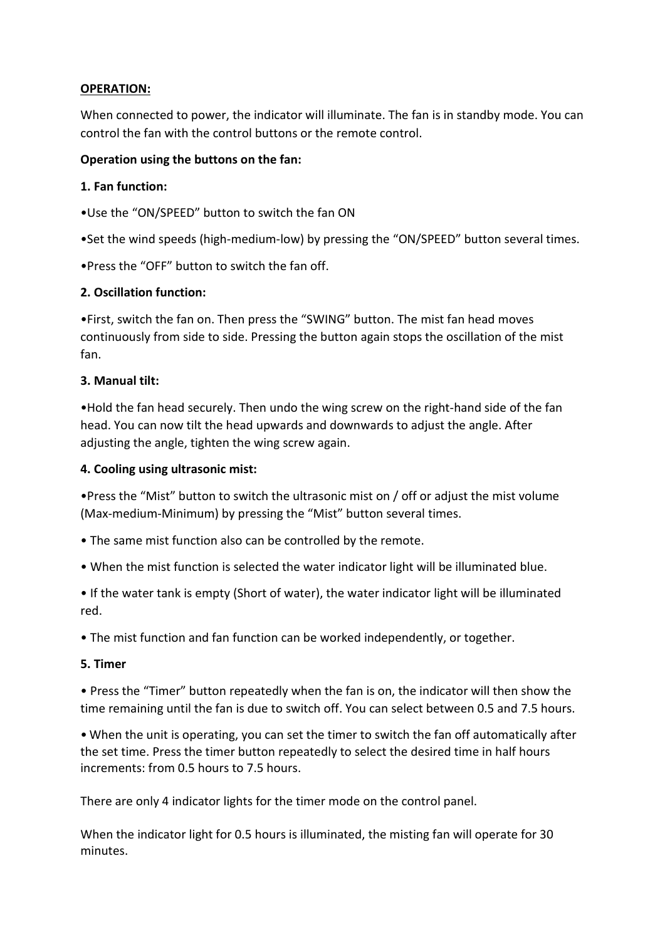## **OPERATION:**

When connected to power, the indicator will illuminate. The fan is in standby mode. You can control the fan with the control buttons or the remote control.

## **Operation using the buttons on the fan:**

## **1. Fan function:**

•Use the "ON/SPEED" button to switch the fan ON

•Set the wind speeds (high-medium-low) by pressing the "ON/SPEED" button several times.

•Press the "OFF" button to switch the fan off.

## **2. Oscillation function:**

•First, switch the fan on. Then press the "SWING" button. The mist fan head moves continuously from side to side. Pressing the button again stops the oscillation of the mist fan.

## **3. Manual tilt:**

•Hold the fan head securely. Then undo the wing screw on the right-hand side of the fan head. You can now tilt the head upwards and downwards to adjust the angle. After adjusting the angle, tighten the wing screw again.

## **4. Cooling using ultrasonic mist:**

•Press the "Mist" button to switch the ultrasonic mist on / off or adjust the mist volume (Max-medium-Minimum) by pressing the "Mist" button several times.

- The same mist function also can be controlled by the remote.
- When the mist function is selected the water indicator light will be illuminated blue.

• If the water tank is empty (Short of water), the water indicator light will be illuminated red.

• The mist function and fan function can be worked independently, or together.

## **5. Timer**

• Press the "Timer" button repeatedly when the fan is on, the indicator will then show the time remaining until the fan is due to switch off. You can select between 0.5 and 7.5 hours.

• When the unit is operating, you can set the timer to switch the fan off automatically after the set time. Press the timer button repeatedly to select the desired time in half hours increments: from 0.5 hours to 7.5 hours.

There are only 4 indicator lights for the timer mode on the control panel.

When the indicator light for 0.5 hours is illuminated, the misting fan will operate for 30 minutes.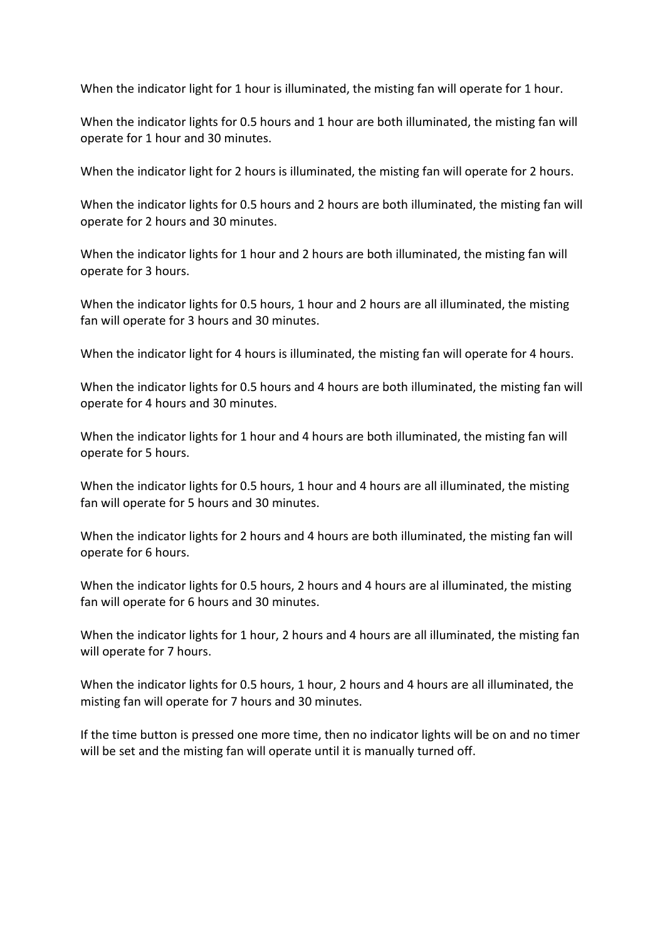When the indicator light for 1 hour is illuminated, the misting fan will operate for 1 hour.

When the indicator lights for 0.5 hours and 1 hour are both illuminated, the misting fan will operate for 1 hour and 30 minutes.

When the indicator light for 2 hours is illuminated, the misting fan will operate for 2 hours.

When the indicator lights for 0.5 hours and 2 hours are both illuminated, the misting fan will operate for 2 hours and 30 minutes.

When the indicator lights for 1 hour and 2 hours are both illuminated, the misting fan will operate for 3 hours.

When the indicator lights for 0.5 hours, 1 hour and 2 hours are all illuminated, the misting fan will operate for 3 hours and 30 minutes.

When the indicator light for 4 hours is illuminated, the misting fan will operate for 4 hours.

When the indicator lights for 0.5 hours and 4 hours are both illuminated, the misting fan will operate for 4 hours and 30 minutes.

When the indicator lights for 1 hour and 4 hours are both illuminated, the misting fan will operate for 5 hours.

When the indicator lights for 0.5 hours, 1 hour and 4 hours are all illuminated, the misting fan will operate for 5 hours and 30 minutes.

When the indicator lights for 2 hours and 4 hours are both illuminated, the misting fan will operate for 6 hours.

When the indicator lights for 0.5 hours, 2 hours and 4 hours are al illuminated, the misting fan will operate for 6 hours and 30 minutes.

When the indicator lights for 1 hour, 2 hours and 4 hours are all illuminated, the misting fan will operate for 7 hours.

When the indicator lights for 0.5 hours, 1 hour, 2 hours and 4 hours are all illuminated, the misting fan will operate for 7 hours and 30 minutes.

If the time button is pressed one more time, then no indicator lights will be on and no timer will be set and the misting fan will operate until it is manually turned off.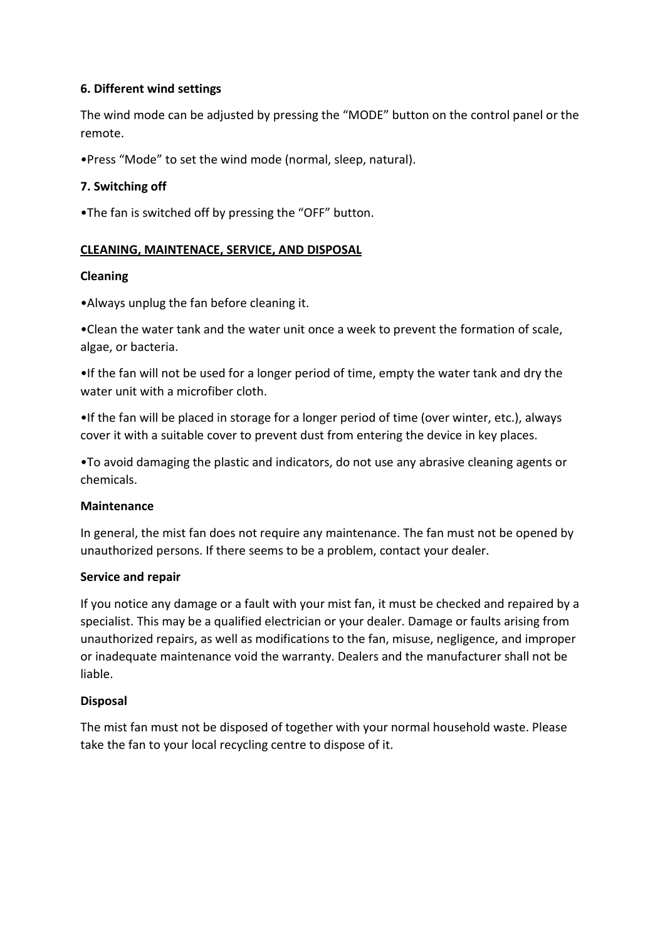## **6. Different wind settings**

The wind mode can be adjusted by pressing the "MODE" button on the control panel or the remote.

•Press "Mode" to set the wind mode (normal, sleep, natural).

## **7. Switching off**

•The fan is switched off by pressing the "OFF" button.

#### **CLEANING, MAINTENACE, SERVICE, AND DISPOSAL**

#### **Cleaning**

•Always unplug the fan before cleaning it.

•Clean the water tank and the water unit once a week to prevent the formation of scale, algae, or bacteria.

•If the fan will not be used for a longer period of time, empty the water tank and dry the water unit with a microfiber cloth.

•If the fan will be placed in storage for a longer period of time (over winter, etc.), always cover it with a suitable cover to prevent dust from entering the device in key places.

•To avoid damaging the plastic and indicators, do not use any abrasive cleaning agents or chemicals.

#### **Maintenance**

In general, the mist fan does not require any maintenance. The fan must not be opened by unauthorized persons. If there seems to be a problem, contact your dealer.

#### **Service and repair**

If you notice any damage or a fault with your mist fan, it must be checked and repaired by a specialist. This may be a qualified electrician or your dealer. Damage or faults arising from unauthorized repairs, as well as modifications to the fan, misuse, negligence, and improper or inadequate maintenance void the warranty. Dealers and the manufacturer shall not be liable.

#### **Disposal**

The mist fan must not be disposed of together with your normal household waste. Please take the fan to your local recycling centre to dispose of it.